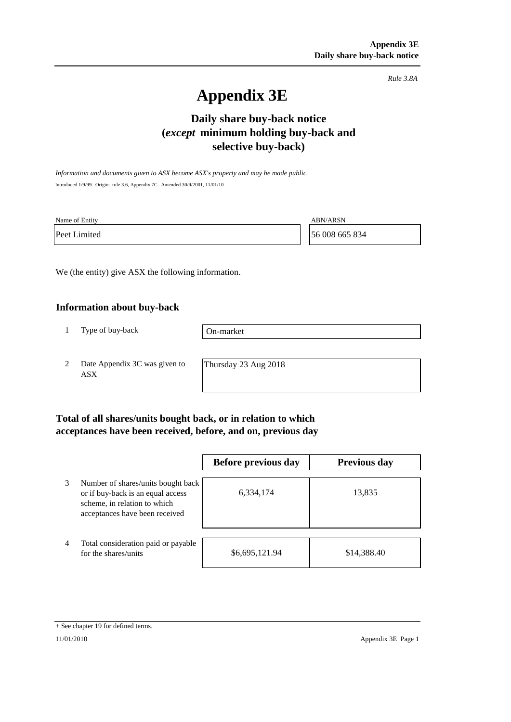*Rule 3.8A*

# **Appendix 3E**

## **Daily share buy-back notice (***except* **minimum holding buy-back and selective buy-back)**

*Information and documents given to ASX become ASX's property and may be made public.* Introduced 1/9/99. Origin: rule 3.6, Appendix 7C. Amended 30/9/2001, 11/01/10

| Name of Entity | <b>ABN/ARSN</b> |
|----------------|-----------------|
| Peet Limited   | 56 008 665 834  |

We (the entity) give ASX the following information.

#### **Information about buy-back**

1 Type of buy-back

On-market

2 Date Appendix 3C was given to ASX

Thursday 23 Aug 2018

#### **Total of all shares/units bought back, or in relation to which acceptances have been received, before, and on, previous day**

|                |                                                                                                                                           | Before previous day | <b>Previous day</b> |
|----------------|-------------------------------------------------------------------------------------------------------------------------------------------|---------------------|---------------------|
| 3              | Number of shares/units bought back<br>or if buy-back is an equal access<br>scheme, in relation to which<br>acceptances have been received | 6,334,174           | 13,835              |
| $\overline{4}$ | Total consideration paid or payable<br>for the shares/units                                                                               | \$6,695,121.94      | \$14,388.40         |

<sup>+</sup> See chapter 19 for defined terms.